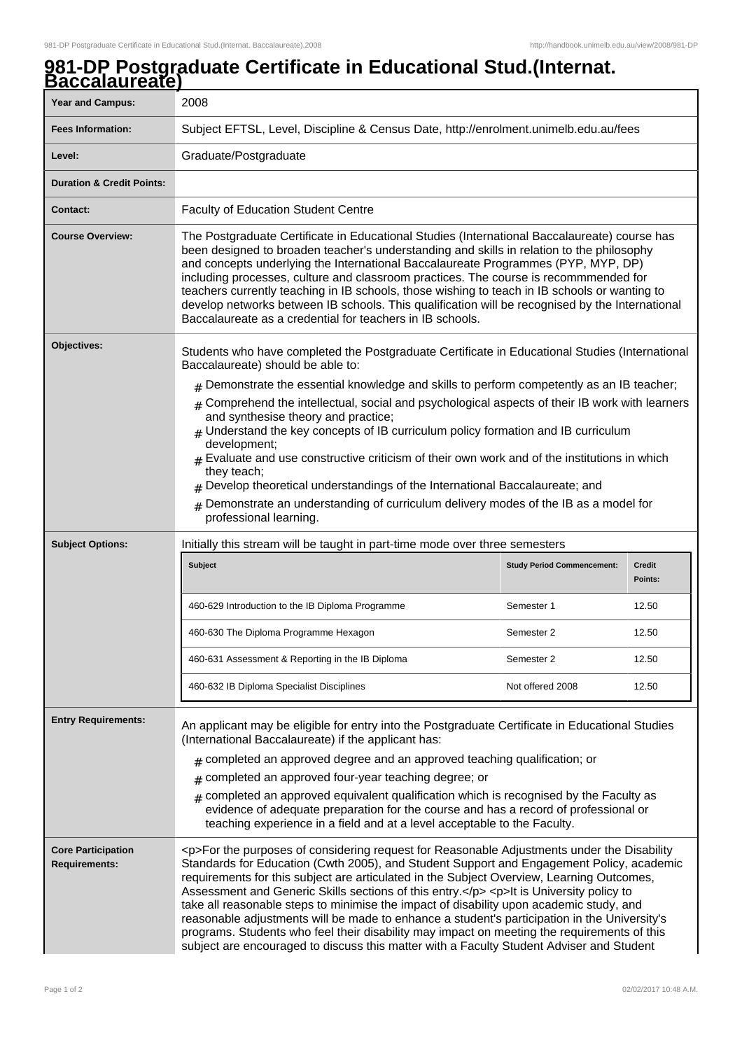## **981-DP Postgraduate Certificate in Educational Stud.(Internat. Baccalaureate)**

| ,,,,,,,,,,,,<br><b>Year and Campus:</b>           | 2008                                                                                                                                                                                                                                                                                                                                                                                                                                                                                                                                                                                                                                                                                                                                                                                                              |                                   |                          |
|---------------------------------------------------|-------------------------------------------------------------------------------------------------------------------------------------------------------------------------------------------------------------------------------------------------------------------------------------------------------------------------------------------------------------------------------------------------------------------------------------------------------------------------------------------------------------------------------------------------------------------------------------------------------------------------------------------------------------------------------------------------------------------------------------------------------------------------------------------------------------------|-----------------------------------|--------------------------|
| <b>Fees Information:</b>                          | Subject EFTSL, Level, Discipline & Census Date, http://enrolment.unimelb.edu.au/fees                                                                                                                                                                                                                                                                                                                                                                                                                                                                                                                                                                                                                                                                                                                              |                                   |                          |
| Level:                                            | Graduate/Postgraduate                                                                                                                                                                                                                                                                                                                                                                                                                                                                                                                                                                                                                                                                                                                                                                                             |                                   |                          |
| <b>Duration &amp; Credit Points:</b>              |                                                                                                                                                                                                                                                                                                                                                                                                                                                                                                                                                                                                                                                                                                                                                                                                                   |                                   |                          |
| <b>Contact:</b>                                   | <b>Faculty of Education Student Centre</b>                                                                                                                                                                                                                                                                                                                                                                                                                                                                                                                                                                                                                                                                                                                                                                        |                                   |                          |
| <b>Course Overview:</b>                           | The Postgraduate Certificate in Educational Studies (International Baccalaureate) course has<br>been designed to broaden teacher's understanding and skills in relation to the philosophy<br>and concepts underlying the International Baccalaureate Programmes (PYP, MYP, DP)<br>including processes, culture and classroom practices. The course is recommmended for<br>teachers currently teaching in IB schools, those wishing to teach in IB schools or wanting to<br>develop networks between IB schools. This qualification will be recognised by the International<br>Baccalaureate as a credential for teachers in IB schools.                                                                                                                                                                           |                                   |                          |
| Objectives:                                       | Students who have completed the Postgraduate Certificate in Educational Studies (International<br>Baccalaureate) should be able to:<br>$_{\rm #}$ Demonstrate the essential knowledge and skills to perform competently as an IB teacher;<br>$*$ Comprehend the intellectual, social and psychological aspects of their IB work with learners<br>and synthesise theory and practice;<br>$_{\text{\#}}$ Understand the key concepts of IB curriculum policy formation and IB curriculum<br>development;<br>Evaluate and use constructive criticism of their own work and of the institutions in which<br>they teach;<br>Develop theoretical understandings of the International Baccalaureate; and<br>Demonstrate an understanding of curriculum delivery modes of the IB as a model for<br>professional learning. |                                   |                          |
| <b>Subject Options:</b>                           | Initially this stream will be taught in part-time mode over three semesters                                                                                                                                                                                                                                                                                                                                                                                                                                                                                                                                                                                                                                                                                                                                       |                                   |                          |
|                                                   | Subject                                                                                                                                                                                                                                                                                                                                                                                                                                                                                                                                                                                                                                                                                                                                                                                                           | <b>Study Period Commencement:</b> | <b>Credit</b><br>Points: |
|                                                   | 460-629 Introduction to the IB Diploma Programme                                                                                                                                                                                                                                                                                                                                                                                                                                                                                                                                                                                                                                                                                                                                                                  | Semester 1                        | 12.50                    |
|                                                   | 460-630 The Diploma Programme Hexagon                                                                                                                                                                                                                                                                                                                                                                                                                                                                                                                                                                                                                                                                                                                                                                             | Semester 2                        | 12.50                    |
|                                                   | 460-631 Assessment & Reporting in the IB Diploma                                                                                                                                                                                                                                                                                                                                                                                                                                                                                                                                                                                                                                                                                                                                                                  | Semester 2                        | 12.50                    |
|                                                   | 460-632 IB Diploma Specialist Disciplines                                                                                                                                                                                                                                                                                                                                                                                                                                                                                                                                                                                                                                                                                                                                                                         | Not offered 2008                  | 12.50                    |
| <b>Entry Requirements:</b>                        | An applicant may be eligible for entry into the Postgraduate Certificate in Educational Studies<br>(International Baccalaureate) if the applicant has:<br>$#$ completed an approved degree and an approved teaching qualification; or<br>completed an approved four-year teaching degree; or<br>#<br>completed an approved equivalent qualification which is recognised by the Faculty as<br>#<br>evidence of adequate preparation for the course and has a record of professional or<br>teaching experience in a field and at a level acceptable to the Faculty.                                                                                                                                                                                                                                                 |                                   |                          |
| <b>Core Participation</b><br><b>Requirements:</b> | <p>For the purposes of considering request for Reasonable Adjustments under the Disability<br/>Standards for Education (Cwth 2005), and Student Support and Engagement Policy, academic<br/>requirements for this subject are articulated in the Subject Overview, Learning Outcomes,<br/>Assessment and Generic Skills sections of this entry.</p> <p>lt is University policy to<br/>take all reasonable steps to minimise the impact of disability upon academic study, and<br/>reasonable adjustments will be made to enhance a student's participation in the University's<br/>programs. Students who feel their disability may impact on meeting the requirements of this<br/>subject are encouraged to discuss this matter with a Faculty Student Adviser and Student</p>                                   |                                   |                          |